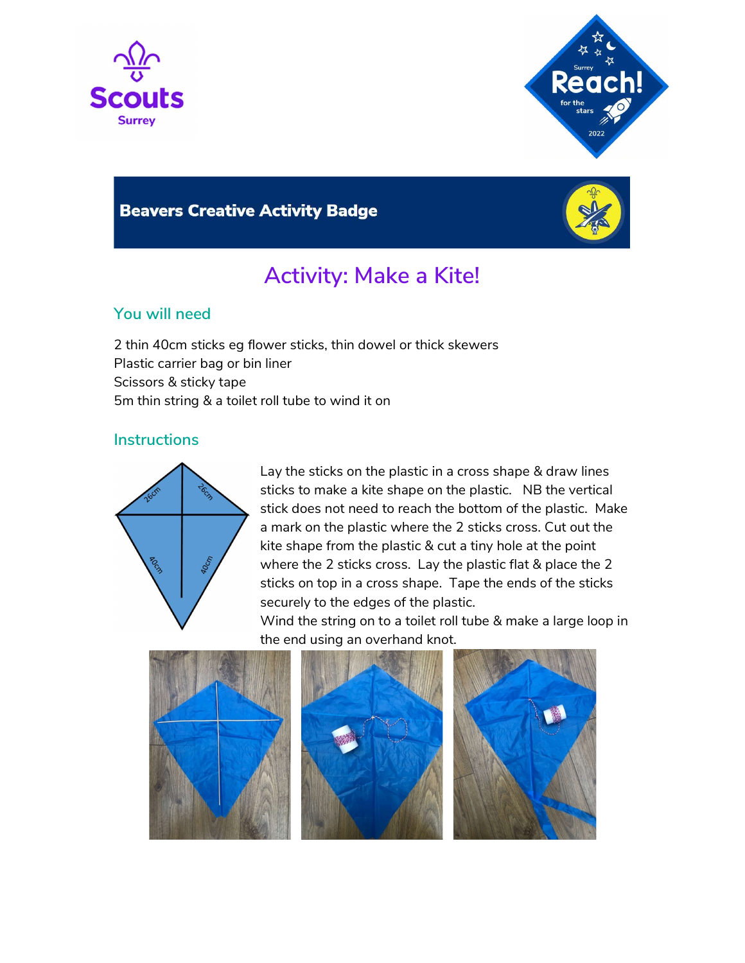



## **Beavers Creative Activity Badge**



# Activity: Make a Kite!

### You will need

2 thin 40cm sticks eg flower sticks, thin dowel or thick skewers Plastic carrier bag or bin liner Scissors & sticky tape 5m thin string & a toilet roll tube to wind it on

### **Instructions**



Lay the sticks on the plastic in a cross shape & draw lines sticks to make a kite shape on the plastic. NB the vertical stick does not need to reach the bottom of the plastic. Make a mark on the plastic where the 2 sticks cross. Cut out the kite shape from the plastic & cut a tiny hole at the point where the 2 sticks cross. Lay the plastic flat & place the 2 sticks on top in a cross shape. Tape the ends of the sticks securely to the edges of the plastic.

Wind the string on to a toilet roll tube & make a large loop in the end using an overhand knot.